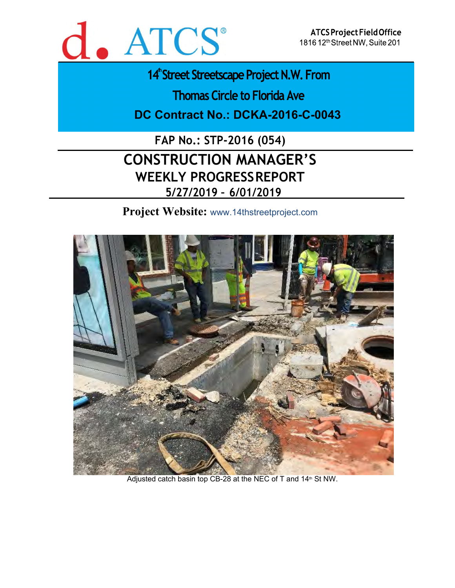

14<sup>th</sup> Street Streetscape Project N.W. From

**Thomas Circle to Florida Ave** 

**DC Contract No.: DCKA-2016-C-0043** 

**FAP No.: STP-2016 (054) CONSTRUCTION MANAGER'S WEEKLY PROGRESS REPORT 5/27/2019 – 6/01/2019** 

**Project Website:** www.14thstreetproject.com



Adjusted catch basin top CB-28 at the NEC of T and  $14<sup>th</sup>$  St NW.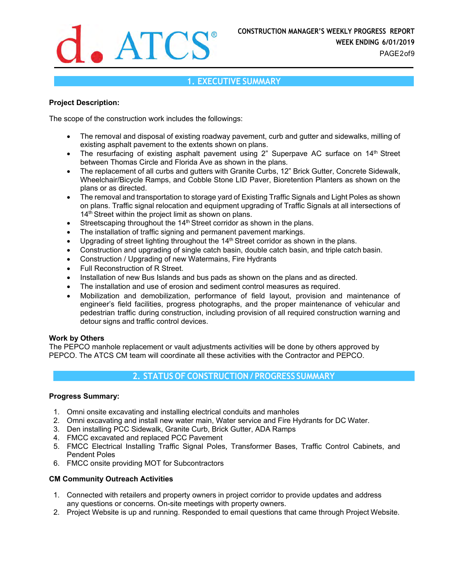

# **1. EXECUTIVE SUMMARY**

### **Project Description:**

The scope of the construction work includes the followings:

- The removal and disposal of existing roadway pavement, curb and gutter and sidewalks, milling of existing asphalt pavement to the extents shown on plans.
- The resurfacing of existing asphalt pavement using 2" Superpave AC surface on 14<sup>th</sup> Street between Thomas Circle and Florida Ave as shown in the plans.
- The replacement of all curbs and gutters with Granite Curbs, 12" Brick Gutter, Concrete Sidewalk, Wheelchair/Bicycle Ramps, and Cobble Stone LID Paver, Bioretention Planters as shown on the plans or as directed.
- The removal and transportation to storage yard of Existing Traffic Signals and Light Poles as shown on plans. Traffic signal relocation and equipment upgrading of Traffic Signals at all intersections of 14<sup>th</sup> Street within the project limit as shown on plans.
- Streetscaping throughout the 14<sup>th</sup> Street corridor as shown in the plans.
- The installation of traffic signing and permanent pavement markings.
- $\bullet$  Upgrading of street lighting throughout the 14<sup>th</sup> Street corridor as shown in the plans.
- Construction and upgrading of single catch basin, double catch basin, and triple catch basin.
- Construction / Upgrading of new Watermains, Fire Hydrants
- Full Reconstruction of R Street.
- Installation of new Bus Islands and bus pads as shown on the plans and as directed.
- The installation and use of erosion and sediment control measures as required.
- Mobilization and demobilization, performance of field layout, provision and maintenance of engineer's field facilities, progress photographs, and the proper maintenance of vehicular and pedestrian traffic during construction, including provision of all required construction warning and detour signs and traffic control devices.

### **Work by Others**

The PEPCO manhole replacement or vault adjustments activities will be done by others approved by PEPCO. The ATCS CM team will coordinate all these activities with the Contractor and PEPCO.

# **2. STATUS OF CONSTRUCTION / PROGRESS SUMMARY**

### **Progress Summary:**

- 1. Omni onsite excavating and installing electrical conduits and manholes
- 2. Omni excavating and install new water main, Water service and Fire Hydrants for DC Water.
- 3. Den installing PCC Sidewalk, Granite Curb, Brick Gutter, ADA Ramps
- 4. FMCC excavated and replaced PCC Pavement
- 5. FMCC Electrical Installing Traffic Signal Poles, Transformer Bases, Traffic Control Cabinets, and Pendent Poles
- 6. FMCC onsite providing MOT for Subcontractors

### **CM Community Outreach Activities**

- 1. Connected with retailers and property owners in project corridor to provide updates and address any questions or concerns. On-site meetings with property owners.
- 2. Project Website is up and running. Responded to email questions that came through Project Website.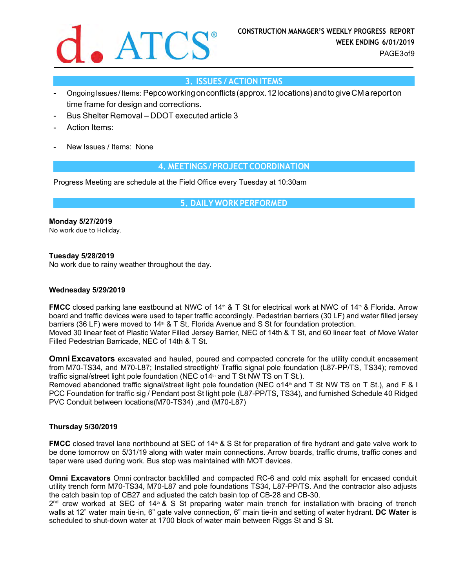

# **3. ISSUES / ACTION ITEMS**

- Ongoing Issues / Items: Pepco working on conflicts (approx. 12 locations) and to give CM a report on time frame for design and corrections.
- Bus Shelter Removal DDOT executed article 3
- Action Items:
- New Issues / Items: None

# **4. MEETINGS / PROJECT COORDINATION**

Progress Meeting are schedule at the Field Office every Tuesday at 10:30am

**5. DAILY WORK PERFORMED**

**Monday 5/27/2019**  No work due to Holiday.

**Tuesday 5/28/2019** 

No work due to rainy weather throughout the day.

### **Wednesday 5/29/2019**

**FMCC** closed parking lane eastbound at NWC of 14<sup>th</sup> & T St for electrical work at NWC of 14<sup>th</sup> & Florida. Arrow board and traffic devices were used to taper traffic accordingly. Pedestrian barriers (30 LF) and water filled jersey barriers (36 LF) were moved to  $14<sup>th</sup>$  & T St, Florida Avenue and S St for foundation protection. Moved 30 linear feet of Plastic Water Filled Jersey Barrier, NEC of 14th & T St, and 60 linear feet of Move Water Filled Pedestrian Barricade, NEC of 14th & T St.

**Omni Excavators** excavated and hauled, poured and compacted concrete for the utility conduit encasement from M70-TS34, and M70-L87; Installed streetlight/ Traffic signal pole foundation (L87-PP/TS, TS34); removed traffic signal/street light pole foundation (NEC  $\circ$ 14<sup>th</sup> and T St NW TS on T St.).

Removed abandoned traffic signal/street light pole foundation (NEC o14<sup>th</sup> and T St NW TS on T St.), and F & I PCC Foundation for traffic sig / Pendant post St light pole (L87-PP/TS, TS34), and furnished Schedule 40 Ridged PVC Conduit between locations(M70-TS34) ,and (M70-L87)

### **Thursday 5/30/2019**

**FMCC** closed travel lane northbound at SEC of 14<sup>th</sup> & S St for preparation of fire hydrant and gate valve work to be done tomorrow on 5/31/19 along with water main connections. Arrow boards, traffic drums, traffic cones and taper were used during work. Bus stop was maintained with MOT devices.

**Omni Excavators** Omni contractor backfilled and compacted RC-6 and cold mix asphalt for encased conduit utility trench form M70-TS34, M70-L87 and pole foundations TS34, L87-PP/TS. And the contractor also adjusts the catch basin top of CB27 and adjusted the catch basin top of CB-28 and CB-30.

2<sup>nd</sup> crew worked at SEC of 14<sup>th</sup> & S St preparing water main trench for installation with bracing of trench walls at 12" water main tie-in, 6" gate valve connection, 6" main tie-in and setting of water hydrant. **DC Water** is scheduled to shut-down water at 1700 block of water main between Riggs St and S St.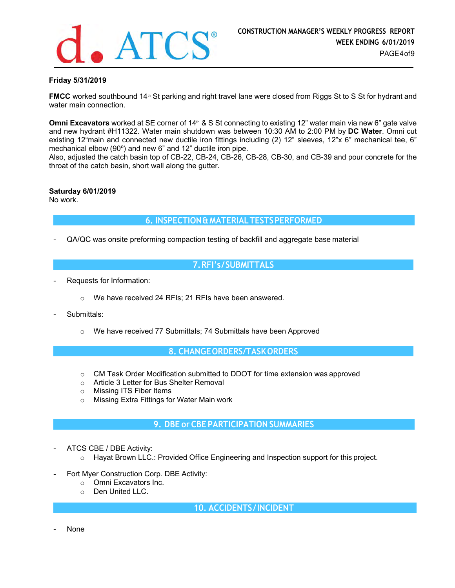

### **Friday 5/31/2019**

**FMCC** worked southbound 14<sup>th</sup> St parking and right travel lane were closed from Riggs St to S St for hydrant and water main connection.

**Omni Excavators** worked at SE corner of 14<sup>th</sup> & S St connecting to existing 12" water main via new 6" gate valve and new hydrant #H11322. Water main shutdown was between 10:30 AM to 2:00 PM by **DC Water**. Omni cut existing 12"main and connected new ductile iron fittings including (2) 12" sleeves, 12"x 6" mechanical tee, 6" mechanical elbow (90º) and new 6" and 12" ductile iron pipe.

Also, adjusted the catch basin top of CB-22, CB-24, CB-26, CB-28, CB-30, and CB-39 and pour concrete for the throat of the catch basin, short wall along the gutter.

### **Saturday 6/01/2019**

No work.

# **6. INSPECTION & MATERIAL TESTS PERFORMED**

- QA/QC was onsite preforming compaction testing of backfill and aggregate base material

# **7. RFI's / SUBMITTALS**

- Requests for Information:
	- o We have received 24 RFIs; 21 RFIs have been answered.
- Submittals:
	- o We have received 77 Submittals; 74 Submittals have been Approved

### **8. CHANGE ORDERS/TASK ORDERS**

- $\circ$  CM Task Order Modification submitted to DDOT for time extension was approved
- o Article 3 Letter for Bus Shelter Removal
- o Missing ITS Fiber Items
- o Missing Extra Fittings for Water Main work

# **9. DBE or CBE PARTICIPATION SUMMARIES**

- ATCS CBE / DBE Activity:
	- o Hayat Brown LLC.: Provided Office Engineering and Inspection support for this project.
- Fort Myer Construction Corp. DBE Activity:
	- o Omni Excavators Inc.
	- o Den United LLC.

 **10. ACCIDENTS / INCIDENT** 

None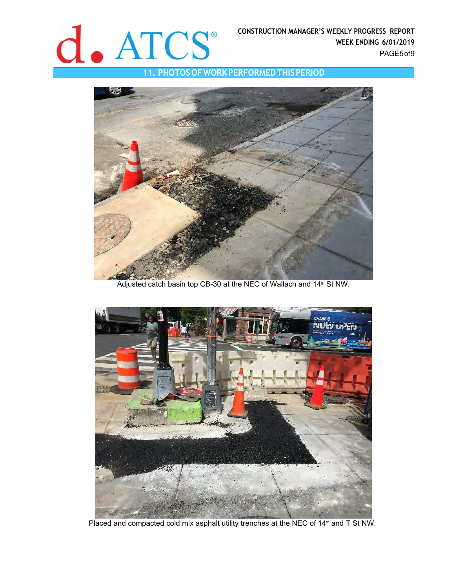

**11. PHOTOS OF WORK PERFORMED THIS PERIOD** 



Adjusted catch basin top CB-30 at the NEC of Wallach and 14<sup>th</sup> St NW.



Placed and compacted cold mix asphalt utility trenches at the NEC of 14<sup>th</sup> and T St NW.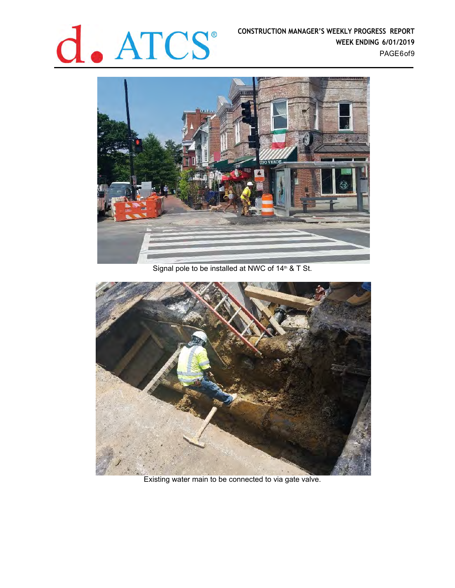

**CONSTRUCTION MANAGER'S WEEKLY PROGRESS REPORT WEEK ENDING 6/01/2019** PAGE6 of 9



Signal pole to be installed at NWC of  $14^n$  & T St.



Existing water main to be connected to via gate valve.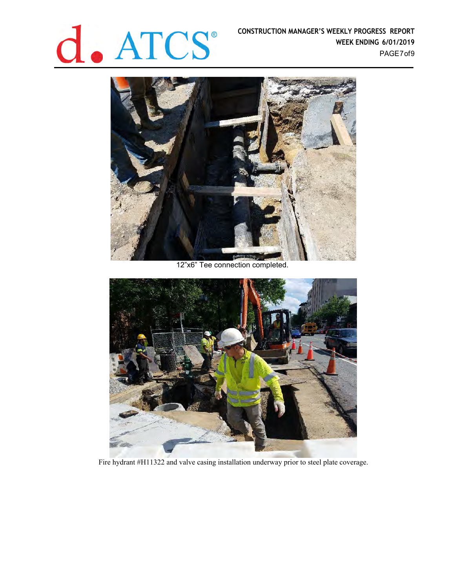

**CONSTRUCTION MANAGER'S WEEKLY PROGRESS REPORT WEEK ENDING 6/01/2019** PAGE7 of 9



12"x6" Tee connection completed.



Fire hydrant #H11322 and valve casing installation underway prior to steel plate coverage.